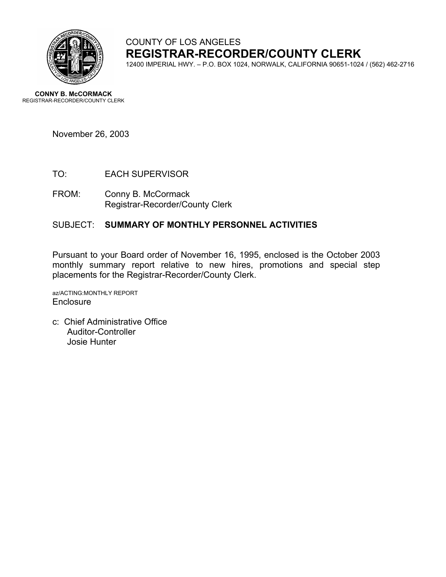

# COUNTY OF LOS ANGELES **REGISTRAR-RECORDER/COUNTY CLERK**

12400 IMPERIAL HWY. – P.O. BOX 1024, NORWALK, CALIFORNIA 90651-1024 / (562) 462-2716

**CONNY B. McCORMACK** REGISTRAR-RECORDER/COUNTY CLERK

November 26, 2003

- TO: EACH SUPERVISOR
- FROM: Conny B. McCormack Registrar-Recorder/County Clerk

#### SUBJECT: **SUMMARY OF MONTHLY PERSONNEL ACTIVITIES**

Pursuant to your Board order of November 16, 1995, enclosed is the October 2003 monthly summary report relative to new hires, promotions and special step placements for the Registrar-Recorder/County Clerk.

az/ACTING:MONTHLY REPORT **Enclosure** 

c: Chief Administrative Office Auditor-Controller Josie Hunter